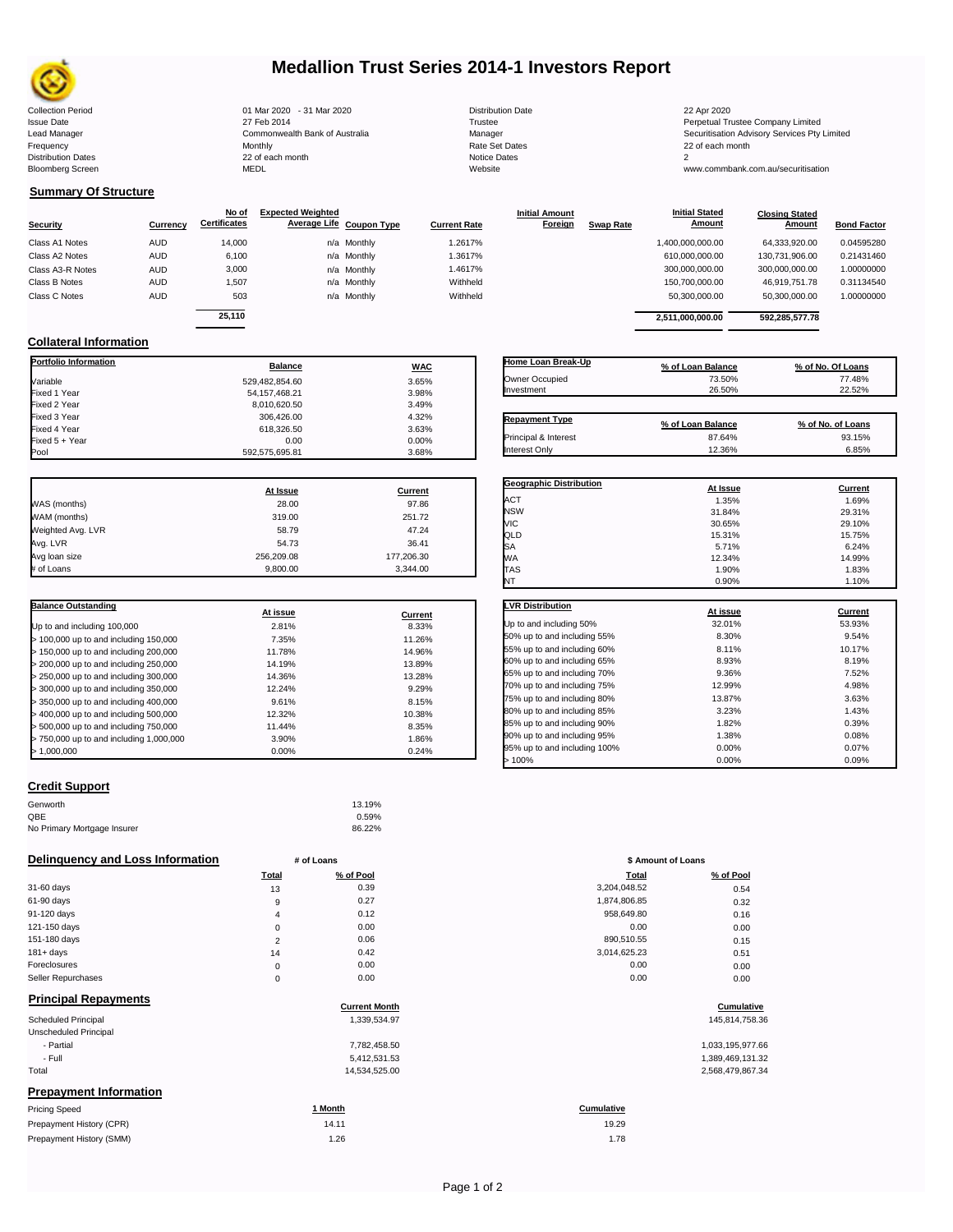

## **Medallion Trust Series 2014-1 Investors Report**

Collection Period 01 Mar 2020 - 31 Mar 2020 Distribution Date 22 Apr 2020 Issue Date 27 Feb 2014 Trustee Perpetual Trustee Company Limited Lead Manager **Commonwealth Bank of Australia** Manager Manager Securitisation Advisory Services Pty Limited Frequency Monthly Rate Set Dates 22 of each month Prequency results are the month of the Monthly Monthly and the Set Dates 22 of each month of the Set Dates 20 of each month of the Set Dates 20 of each month of the Set Dates 20 of each month of the Set Dates 20 of each mo Bloomberg Screen MEDL Website www.commbank.com.au/securitisation

| <b>Distribution Date</b> |
|--------------------------|
| Trustee                  |
| Manager                  |
| Rate Set Dates           |
| Notice Dates             |
| Website                  |
|                          |

**Initial Amount** 

**Closing Stated Amount**

### **Summary Of Structure**

**Collateral Information**

|                  |            | No of               | <b>Expected Weighted</b> |             |                     | <b>Initial Amount</b> |                  | <b>Initial Stated</b> | <b>Closing Stated</b> |                    |
|------------------|------------|---------------------|--------------------------|-------------|---------------------|-----------------------|------------------|-----------------------|-----------------------|--------------------|
| <b>Security</b>  | Currency   | <b>Certificates</b> | Average Life Coupon Type |             | <b>Current Rate</b> | Foreign               | <b>Swap Rate</b> | <b>Amount</b>         | Amount                | <b>Bond Factor</b> |
| Class A1 Notes   | AUD        | 14,000              |                          | n/a Monthly | 1.2617%             |                       |                  | 1,400,000,000.00      | 64.333.920.00         | 0.04595280         |
| Class A2 Notes   | <b>AUD</b> | 6,100               |                          | n/a Monthly | 1.3617%             |                       |                  | 610,000,000.00        | 130.731.906.00        | 0.21431460         |
| Class A3-R Notes | <b>AUD</b> | 3,000               |                          | n/a Monthly | 1.4617%             |                       |                  | 300,000,000.00        | 300,000,000.00        | 1.00000000         |
| Class B Notes    | AUD        | 1,507               |                          | n/a Monthly | Withheld            |                       |                  | 150,700,000.00        | 46.919.751.78         | 0.31134540         |
| Class C Notes    | <b>AUD</b> | 503                 |                          | n/a Monthly | Withheld            |                       |                  | 50,300,000.00         | 50,300,000.00         | 1.00000000         |
|                  |            | 25.110              |                          |             |                     |                       |                  |                       | 592.285.577.78        |                    |
|                  |            |                     |                          |             |                     |                       |                  | 2.511.000.000.00      |                       |                    |

**Portfolio Information Balance WAC** Variable 3.65% Fixed 1 Year 3.98% Fixed 2 Year 8,010,620.50 3.49% Fixed 3 Year 306,426.00 4.32%

Fixed 5 + Year 0.00 0.00%

592,575,695.81

| Home Loan Break-Up    | % of Loan Balance | % of No. Of Loans |
|-----------------------|-------------------|-------------------|
| Owner Occupied        | 73.50%            | 77.48%            |
| Investment            | 26.50%            | 22.52%            |
|                       |                   |                   |
| <b>Repayment Type</b> | % of Loan Balance | % of No. of Loans |
| Principal & Interest  | 87.64%            | 93.15%            |
| Interest Only         | 12.36%            | 6.85%             |

**Geographic Distribution**<br> **ACT ACT ACT ACT ACT ACT ACT ACT ACT ACT ACT ACT ACT ACT ACT ACT ACT ACT ACT ACT ACT ACT** ACT 1.35% 1.69% NSW 31.84% 29.31% VIC 30.65% 29.10%

**Initial Stated** 

|                   | At Issue   | Current    |
|-------------------|------------|------------|
| WAS (months)      | 28.00      | 97.86      |
| WAM (months)      | 319.00     | 251.72     |
| Weighted Avg. LVR | 58.79      | 47.24      |
| Avg. LVR          | 54.73      | 36.41      |
| Avg loan size     | 256,209.08 | 177,206.30 |
| # of Loans        | 9.800.00   | 3.344.00   |

Fixed 518,326.50<br>0.00 3.63%<br>0.00%

| <b>Balance Outstanding</b>              |          |         |
|-----------------------------------------|----------|---------|
|                                         | At issue | Current |
| Up to and including 100,000             | 2.81%    | 8.33%   |
| $>$ 100,000 up to and including 150,000 | 7.35%    | 11.26%  |
| > 150,000 up to and including 200,000   | 11.78%   | 14.96%  |
| > 200,000 up to and including 250,000   | 14.19%   | 13.89%  |
| > 250,000 up to and including 300,000   | 14.36%   | 13.28%  |
| $>$ 300,000 up to and including 350,000 | 12.24%   | 9.29%   |
| $>$ 350,000 up to and including 400,000 | 9.61%    | 8.15%   |
| > 400,000 up to and including 500,000   | 12.32%   | 10.38%  |
| > 500,000 up to and including 750,000   | 11.44%   | 8.35%   |
| > 750,000 up to and including 1,000,000 | 3.90%    | 1.86%   |
| > 1.000.000                             | $0.00\%$ | 0.24%   |

# **Credit Support**

| Genworth                    | 13.19% |
|-----------------------------|--------|
| QBE                         | 0.59%  |
| No Primary Mortgage Insurer | 86.22% |

| Delinguency and Loss Information             |                | # of Loans           | \$ Amount of Loans |                  |
|----------------------------------------------|----------------|----------------------|--------------------|------------------|
|                                              | <b>Total</b>   | % of Pool            | <b>Total</b>       | % of Pool        |
| 31-60 days                                   | 13             | 0.39                 | 3,204,048.52       | 0.54             |
| 61-90 days                                   | 9              | 0.27                 | 1,874,806.85       | 0.32             |
| 91-120 days                                  | $\overline{4}$ | 0.12                 | 958,649.80         | 0.16             |
| 121-150 days                                 | $\mathbf 0$    | 0.00                 | 0.00               | 0.00             |
| 151-180 days                                 | $\overline{2}$ | 0.06                 | 890,510.55         | 0.15             |
| $181 + days$                                 | 14             | 0.42                 | 3,014,625.23       | 0.51             |
| Foreclosures                                 | $\mathbf 0$    | 0.00                 | 0.00               | 0.00             |
| Seller Repurchases                           | $\mathbf 0$    | 0.00                 | 0.00               | 0.00             |
| <b>Principal Repayments</b>                  |                | <b>Current Month</b> |                    | Cumulative       |
|                                              |                |                      |                    |                  |
| Scheduled Principal<br>Unscheduled Principal |                | 1,339,534.97         |                    | 145,814,758.36   |
| - Partial                                    |                | 7,782,458.50         |                    | 1,033,195,977.66 |
| - Full                                       |                | 5,412,531.53         |                    | 1,389,469,131.32 |
| Total                                        |                | 14,534,525.00        |                    | 2,568,479,867.34 |
| <b>Prepayment Information</b>                |                |                      |                    |                  |
| <b>Pricing Speed</b>                         |                | 1 Month              | <b>Cumulative</b>  |                  |
| Prepayment History (CPR)                     |                | 14.11                | 19.29              |                  |
| Prepayment History (SMM)                     |                | 1.26                 | 1.78               |                  |

| QLD                          | 15.31%   | 15.75%         |
|------------------------------|----------|----------------|
| SA                           | 5.71%    | 6.24%          |
| WА                           | 12.34%   | 14.99%         |
| <b>TAS</b>                   | 1.90%    | 1.83%          |
| NT                           | 0.90%    | 1.10%          |
| <b>LVR Distribution</b>      | At issue | <b>Current</b> |
| Up to and including 50%      | 32.01%   | 53.93%         |
| 50% up to and including 55%  | 8.30%    | 9.54%          |
| 55% up to and including 60%  | 8.11%    | 10.17%         |
| 60% up to and including 65%  | 8.93%    | 8.19%          |
| 65% up to and including 70%  | 9.36%    | 7.52%          |
| 70% up to and including 75%  | 12.99%   | 4.98%          |
| 75% up to and including 80%  | 13.87%   | 3.63%          |
| 80% up to and including 85%  | 3.23%    | 1.43%          |
| 85% up to and including 90%  | 1.82%    | 0.39%          |
| 90% up to and including 95%  | 1.38%    | 0.08%          |
| 95% up to and including 100% | 0.00%    | 0.07%          |
| >100%                        | 0.00%    | 0.09%          |

| # of Loans     |           | \$ Amount of Loans |           |  |
|----------------|-----------|--------------------|-----------|--|
| Total          | % of Pool | Total              | % of Pool |  |
| 13             | 0.39      | 3,204,048.52       | 0.54      |  |
| 9              | 0.27      | 1,874,806.85       | 0.32      |  |
| 4              | 0.12      | 958,649.80         | 0.16      |  |
| $\mathbf 0$    | 0.00      | 0.00               | 0.00      |  |
| $\overline{2}$ | 0.06      | 890,510.55         | 0.15      |  |
| 14             | 0.42      | 3,014,625.23       | 0.51      |  |
| $\mathbf 0$    | 0.00      | 0.00               | 0.00      |  |
| $\mathbf 0$    | 0.00      | 0.00               | 0.00      |  |
|                |           |                    |           |  |

### $Cumulative$